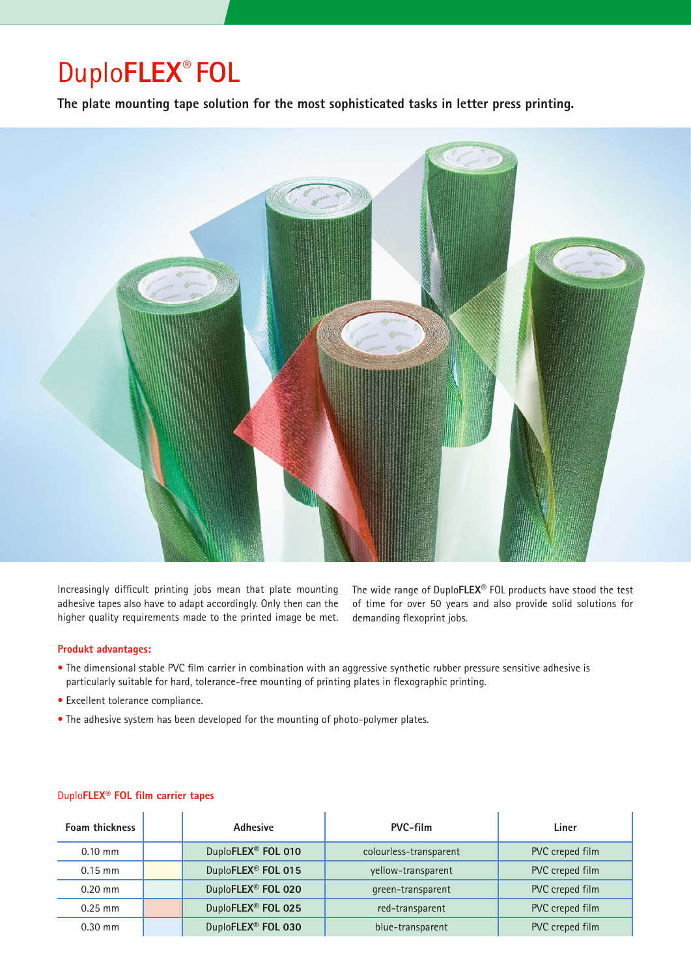## Duplo**FLEX® FOL**

**The plate mounting tape solution for the most sophisticated tasks in letter press printing.**



Increasingly difficult printing jobs mean that plate mounting adhesive tapes also have to adapt accordingly. Only then can the higher quality requirements made to the printed image be met.

The wide range of Duplo**FLEX®** FOL products have stood the test of time for over 50 years and also provide solid solutions for demanding flexoprint jobs.

## **Produkt advantages:**

- The dimensional stable PVC film carrier in combination with an aggressive synthetic rubber pressure sensitive adhesive is particularly suitable for hard, tolerance-free mounting of printing plates in flexographic printing.
- Excellent tolerance compliance.
- The adhesive system has been developed for the mounting of photo-polymer plates.

| Foam thickness | Adhesive                       | PVC-film               | Liner           |
|----------------|--------------------------------|------------------------|-----------------|
| $0.10$ mm      | DuploFLEX <sup>®</sup> FOL 010 | colourless-transparent | PVC creped film |
| $0.15$ mm      | DuploFLEX <sup>®</sup> FOL 015 | yellow-transparent     | PVC creped film |
| $0.20$ mm      | DuploFLEX <sup>®</sup> FOL 020 | green-transparent      | PVC creped film |
| $0.25$ mm      | DuploFLEX <sup>®</sup> FOL 025 | red-transparent        | PVC creped film |
| $0.30$ mm      | DuploFLEX <sup>®</sup> FOL 030 | blue-transparent       | PVC creped film |

## Duplo**FLEX® FOL film carrier tapes**